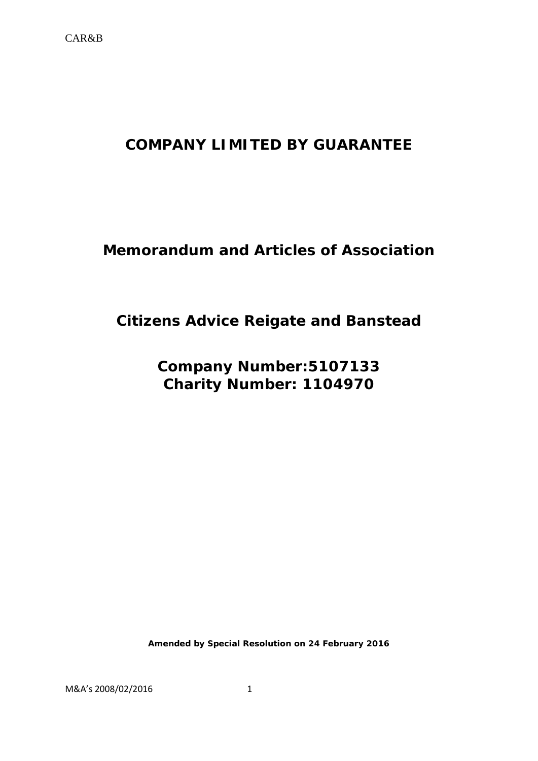# **COMPANY LIMITED BY GUARANTEE**

# **Memorandum and Articles of Association**

# **Citizens Advice Reigate and Banstead**

**Company Number:5107133 Charity Number: 1104970**

**Amended by Special Resolution on 24 February 2016**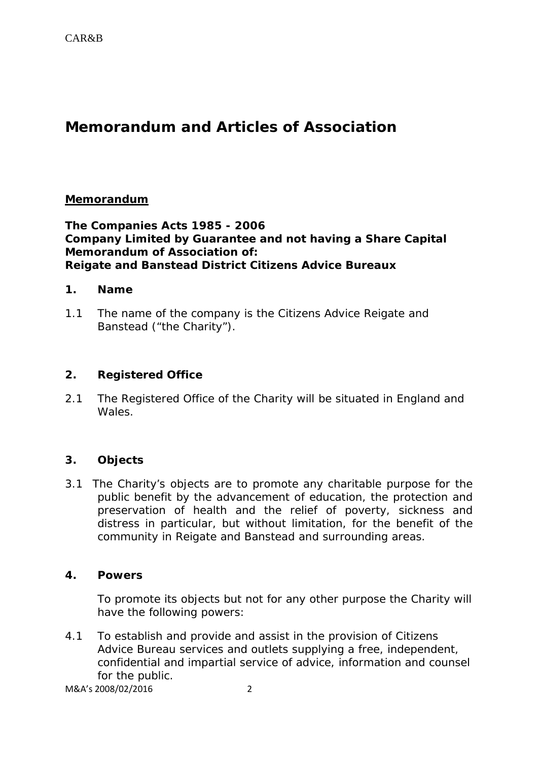# **Memorandum and Articles of Association**

## **Memorandum**

## **The Companies Acts 1985 - 2006 Company Limited by Guarantee and not having a Share Capital Memorandum of Association of: Reigate and Banstead District Citizens Advice Bureaux**

#### **1. Name**

1.1 The name of the company is the Citizens Advice Reigate and Banstead ("the Charity").

# **2. Registered Office**

2.1 The Registered Office of the Charity will be situated in England and Wales.

# **3. Objects**

3.1 The Charity's objects are to promote any charitable purpose for the public benefit by the advancement of education, the protection and preservation of health and the relief of poverty, sickness and distress in particular, but without limitation, for the benefit of the community in Reigate and Banstead and surrounding areas.

#### **4. Powers**

To promote its objects but not for any other purpose the Charity will have the following powers:

4.1 To establish and provide and assist in the provision of Citizens Advice Bureau services and outlets supplying a free, independent, confidential and impartial service of advice, information and counsel for the public.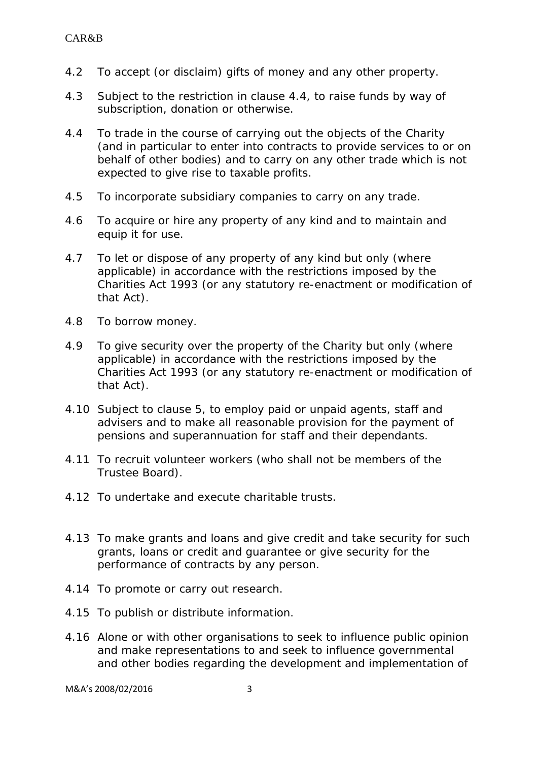- 4.2 To accept (or disclaim) gifts of money and any other property.
- 4.3 Subject to the restriction in clause 4.4, to raise funds by way of subscription, donation or otherwise.
- 4.4 To trade in the course of carrying out the objects of the Charity (and in particular to enter into contracts to provide services to or on behalf of other bodies) and to carry on any other trade which is not expected to give rise to taxable profits.
- 4.5 To incorporate subsidiary companies to carry on any trade.
- 4.6 To acquire or hire any property of any kind and to maintain and equip it for use.
- 4.7 To let or dispose of any property of any kind but only (where applicable) in accordance with the restrictions imposed by the Charities Act 1993 (or any statutory re-enactment or modification of that Act).
- 4.8 To borrow money.
- 4.9 To give security over the property of the Charity but only (where applicable) in accordance with the restrictions imposed by the Charities Act 1993 (or any statutory re-enactment or modification of that Act).
- 4.10 Subject to clause 5, to employ paid or unpaid agents, staff and advisers and to make all reasonable provision for the payment of pensions and superannuation for staff and their dependants.
- 4.11 To recruit volunteer workers (who shall not be members of the Trustee Board).
- 4.12 To undertake and execute charitable trusts.
- 4.13 To make grants and loans and give credit and take security for such grants, loans or credit and guarantee or give security for the performance of contracts by any person.
- 4.14 To promote or carry out research.
- 4.15 To publish or distribute information.
- 4.16 Alone or with other organisations to seek to influence public opinion and make representations to and seek to influence governmental and other bodies regarding the development and implementation of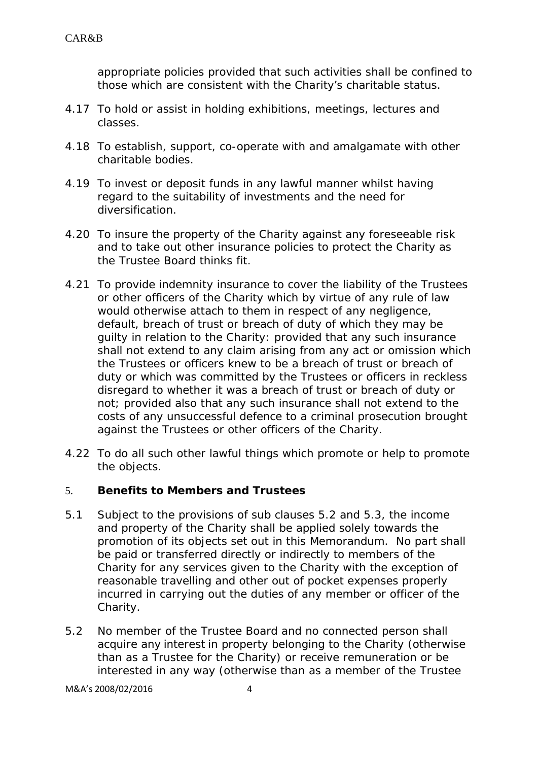appropriate policies provided that such activities shall be confined to those which are consistent with the Charity's charitable status.

- 4.17 To hold or assist in holding exhibitions, meetings, lectures and classes.
- 4.18 To establish, support, co-operate with and amalgamate with other charitable bodies.
- 4.19 To invest or deposit funds in any lawful manner whilst having regard to the suitability of investments and the need for diversification.
- 4.20 To insure the property of the Charity against any foreseeable risk and to take out other insurance policies to protect the Charity as the Trustee Board thinks fit.
- 4.21 To provide indemnity insurance to cover the liability of the Trustees or other officers of the Charity which by virtue of any rule of law would otherwise attach to them in respect of any negligence, default, breach of trust or breach of duty of which they may be guilty in relation to the Charity: provided that any such insurance shall not extend to any claim arising from any act or omission which the Trustees or officers knew to be a breach of trust or breach of duty or which was committed by the Trustees or officers in reckless disregard to whether it was a breach of trust or breach of duty or not; provided also that any such insurance shall not extend to the costs of any unsuccessful defence to a criminal prosecution brought against the Trustees or other officers of the Charity.
- 4.22 To do all such other lawful things which promote or help to promote the objects.

# 5. **Benefits to Members and Trustees**

- 5.1 Subject to the provisions of sub clauses 5.2 and 5.3, the income and property of the Charity shall be applied solely towards the promotion of its objects set out in this Memorandum. No part shall be paid or transferred directly or indirectly to members of the Charity for any services given to the Charity with the exception of reasonable travelling and other out of pocket expenses properly incurred in carrying out the duties of any member or officer of the Charity.
- 5.2 No member of the Trustee Board and no connected person shall acquire any interest in property belonging to the Charity (otherwise than as a Trustee for the Charity) or receive remuneration or be interested in any way (otherwise than as a member of the Trustee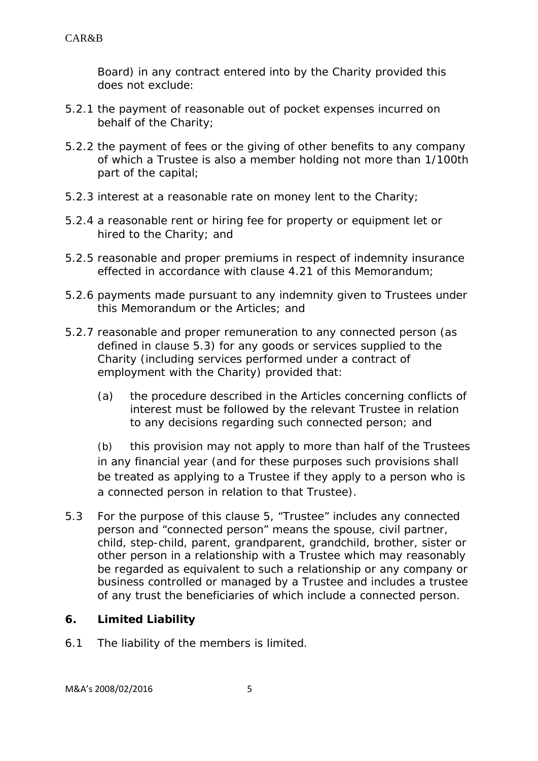Board) in any contract entered into by the Charity provided this does not exclude:

- 5.2.1 the payment of reasonable out of pocket expenses incurred on behalf of the Charity;
- 5.2.2 the payment of fees or the giving of other benefits to any company of which a Trustee is also a member holding not more than 1/100th part of the capital;
- 5.2.3 interest at a reasonable rate on money lent to the Charity;
- 5.2.4 a reasonable rent or hiring fee for property or equipment let or hired to the Charity; and
- 5.2.5 reasonable and proper premiums in respect of indemnity insurance effected in accordance with clause 4.21 of this Memorandum;
- 5.2.6 payments made pursuant to any indemnity given to Trustees under this Memorandum or the Articles; and
- 5.2.7 reasonable and proper remuneration to any connected person (as defined in clause 5.3) for any goods or services supplied to the Charity (including services performed under a contract of employment with the Charity) provided that:
	- (a) the procedure described in the Articles concerning conflicts of interest must be followed by the relevant Trustee in relation to any decisions regarding such connected person; and

(b) this provision may not apply to more than half of the Trustees in any financial year (and for these purposes such provisions shall be treated as applying to a Trustee if they apply to a person who is a connected person in relation to that Trustee).

5.3 For the purpose of this clause 5, "Trustee" includes any connected person and "connected person" means the spouse, civil partner, child, step-child, parent, grandparent, grandchild, brother, sister or other person in a relationship with a Trustee which may reasonably be regarded as equivalent to such a relationship or any company or business controlled or managed by a Trustee and includes a trustee of any trust the beneficiaries of which include a connected person.

#### **6. Limited Liability**

6.1 The liability of the members is limited.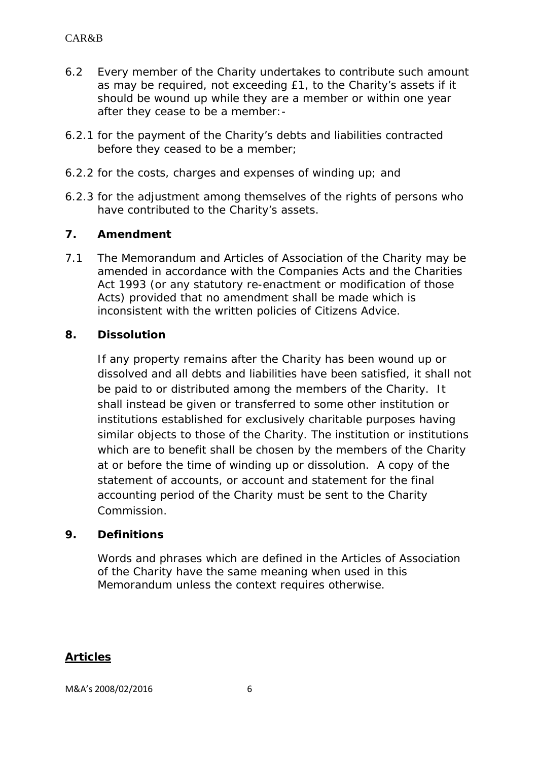- 6.2 Every member of the Charity undertakes to contribute such amount as may be required, not exceeding £1, to the Charity's assets if it should be wound up while they are a member or within one year after they cease to be a member:-
- 6.2.1 for the payment of the Charity's debts and liabilities contracted before they ceased to be a member;
- 6.2.2 for the costs, charges and expenses of winding up; and
- 6.2.3 for the adjustment among themselves of the rights of persons who have contributed to the Charity's assets.

## **7. Amendment**

7.1 The Memorandum and Articles of Association of the Charity may be amended in accordance with the Companies Acts and the Charities Act 1993 (or any statutory re-enactment or modification of those Acts) provided that no amendment shall be made which is inconsistent with the written policies of Citizens Advice.

## **8. Dissolution**

If any property remains after the Charity has been wound up or dissolved and all debts and liabilities have been satisfied, it shall not be paid to or distributed among the members of the Charity. It shall instead be given or transferred to some other institution or institutions established for exclusively charitable purposes having similar objects to those of the Charity. The institution or institutions which are to benefit shall be chosen by the members of the Charity at or before the time of winding up or dissolution. A copy of the statement of accounts, or account and statement for the final accounting period of the Charity must be sent to the Charity Commission.

#### **9. Definitions**

Words and phrases which are defined in the Articles of Association of the Charity have the same meaning when used in this Memorandum unless the context requires otherwise.

# **Articles**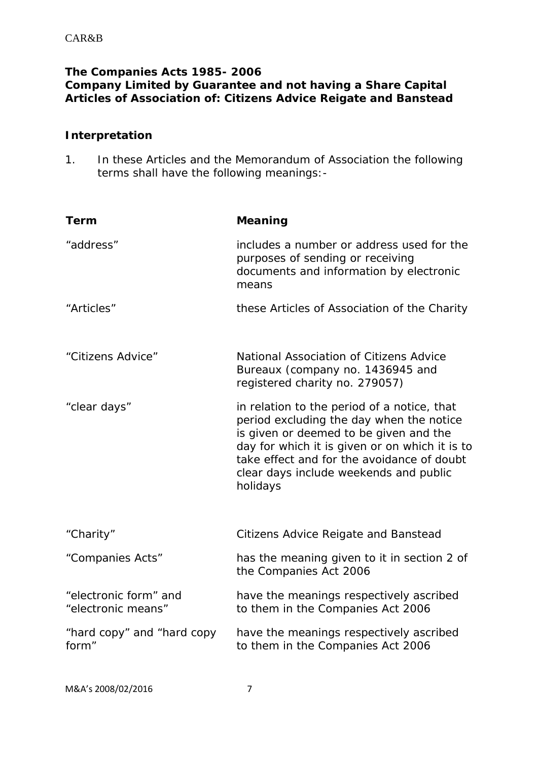# **The Companies Acts 1985- 2006 Company Limited by Guarantee and not having a Share Capital Articles of Association of: Citizens Advice Reigate and Banstead**

## **Interpretation**

1. In these Articles and the Memorandum of Association the following terms shall have the following meanings:-

| Term                                        | <b>Meaning</b>                                                                                                                                                                                                                                                                          |  |  |
|---------------------------------------------|-----------------------------------------------------------------------------------------------------------------------------------------------------------------------------------------------------------------------------------------------------------------------------------------|--|--|
| "address"                                   | includes a number or address used for the<br>purposes of sending or receiving<br>documents and information by electronic<br>means                                                                                                                                                       |  |  |
| "Articles"                                  | these Articles of Association of the Charity                                                                                                                                                                                                                                            |  |  |
| "Citizens Advice"                           | National Association of Citizens Advice<br>Bureaux (company no. 1436945 and<br>registered charity no. 279057)                                                                                                                                                                           |  |  |
| "clear days"                                | in relation to the period of a notice, that<br>period excluding the day when the notice<br>is given or deemed to be given and the<br>day for which it is given or on which it is to<br>take effect and for the avoidance of doubt<br>clear days include weekends and public<br>holidays |  |  |
| "Charity"                                   | <b>Citizens Advice Reigate and Banstead</b>                                                                                                                                                                                                                                             |  |  |
| "Companies Acts"                            | has the meaning given to it in section 2 of<br>the Companies Act 2006                                                                                                                                                                                                                   |  |  |
| "electronic form" and<br>"electronic means" | have the meanings respectively ascribed<br>to them in the Companies Act 2006                                                                                                                                                                                                            |  |  |
| "hard copy" and "hard copy<br>form"         | have the meanings respectively ascribed<br>to them in the Companies Act 2006                                                                                                                                                                                                            |  |  |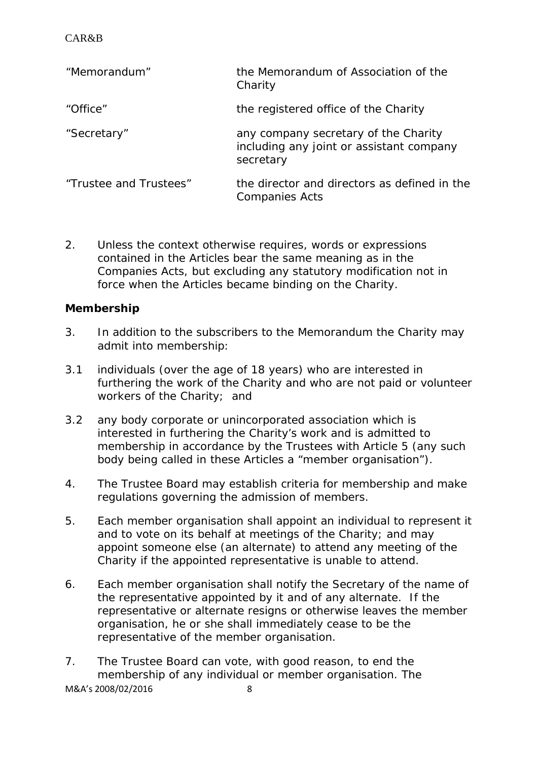| "Memorandum"           | the Memorandum of Association of the<br>Charity                                               |
|------------------------|-----------------------------------------------------------------------------------------------|
| "Office"               | the registered office of the Charity                                                          |
| "Secretary"            | any company secretary of the Charity<br>including any joint or assistant company<br>secretary |
| "Trustee and Trustees" | the director and directors as defined in the<br><b>Companies Acts</b>                         |

2. Unless the context otherwise requires, words or expressions contained in the Articles bear the same meaning as in the Companies Acts, but excluding any statutory modification not in force when the Articles became binding on the Charity.

## **Membership**

- 3. In addition to the subscribers to the Memorandum the Charity may admit into membership:
- 3.1 individuals (over the age of 18 years) who are interested in furthering the work of the Charity and who are not paid or volunteer workers of the Charity; and
- 3.2 any body corporate or unincorporated association which is interested in furthering the Charity's work and is admitted to membership in accordance by the Trustees with Article 5 (any such body being called in these Articles a "member organisation").
- 4. The Trustee Board may establish criteria for membership and make regulations governing the admission of members.
- 5. Each member organisation shall appoint an individual to represent it and to vote on its behalf at meetings of the Charity; and may appoint someone else (an alternate) to attend any meeting of the Charity if the appointed representative is unable to attend.
- 6. Each member organisation shall notify the Secretary of the name of the representative appointed by it and of any alternate. If the representative or alternate resigns or otherwise leaves the member organisation, he or she shall immediately cease to be the representative of the member organisation.
- 7. The Trustee Board can vote, with good reason, to end the membership of any individual or member organisation. The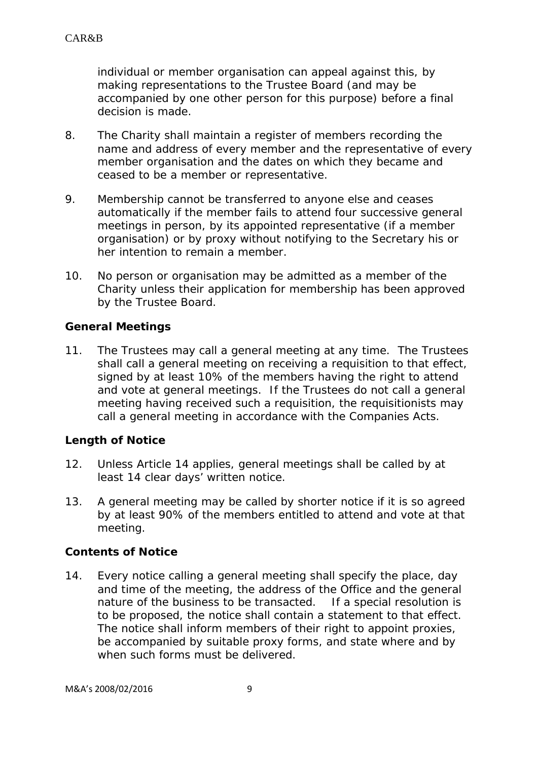individual or member organisation can appeal against this, by making representations to the Trustee Board (and may be accompanied by one other person for this purpose) before a final decision is made.

- 8. The Charity shall maintain a register of members recording the name and address of every member and the representative of every member organisation and the dates on which they became and ceased to be a member or representative.
- 9. Membership cannot be transferred to anyone else and ceases automatically if the member fails to attend four successive general meetings in person, by its appointed representative (if a member organisation) or by proxy without notifying to the Secretary his or her intention to remain a member.
- 10. No person or organisation may be admitted as a member of the Charity unless their application for membership has been approved by the Trustee Board.

#### **General Meetings**

11. The Trustees may call a general meeting at any time. The Trustees shall call a general meeting on receiving a requisition to that effect, signed by at least 10% of the members having the right to attend and vote at general meetings. If the Trustees do not call a general meeting having received such a requisition, the requisitionists may call a general meeting in accordance with the Companies Acts.

#### **Length of Notice**

- 12. Unless Article 14 applies, general meetings shall be called by at least 14 clear days' written notice.
- 13. A general meeting may be called by shorter notice if it is so agreed by at least 90% of the members entitled to attend and vote at that meeting.

# **Contents of Notice**

14. Every notice calling a general meeting shall specify the place, day and time of the meeting, the address of the Office and the general nature of the business to be transacted. If a special resolution is to be proposed, the notice shall contain a statement to that effect. The notice shall inform members of their right to appoint proxies, be accompanied by suitable proxy forms, and state where and by when such forms must be delivered.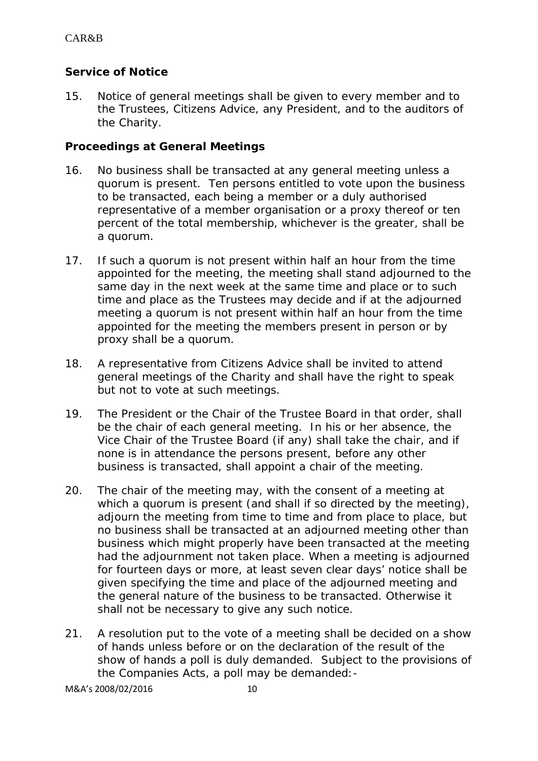# **Service of Notice**

15. Notice of general meetings shall be given to every member and to the Trustees, Citizens Advice, any President, and to the auditors of the Charity.

#### **Proceedings at General Meetings**

- 16. No business shall be transacted at any general meeting unless a quorum is present. Ten persons entitled to vote upon the business to be transacted, each being a member or a duly authorised representative of a member organisation or a proxy thereof or ten percent of the total membership, whichever is the greater, shall be a quorum.
- 17. If such a quorum is not present within half an hour from the time appointed for the meeting, the meeting shall stand adjourned to the same day in the next week at the same time and place or to such time and place as the Trustees may decide and if at the adjourned meeting a quorum is not present within half an hour from the time appointed for the meeting the members present in person or by proxy shall be a quorum.
- 18. A representative from Citizens Advice shall be invited to attend general meetings of the Charity and shall have the right to speak but not to vote at such meetings.
- 19. The President or the Chair of the Trustee Board in that order, shall be the chair of each general meeting. In his or her absence, the Vice Chair of the Trustee Board (if any) shall take the chair, and if none is in attendance the persons present, before any other business is transacted, shall appoint a chair of the meeting.
- 20. The chair of the meeting may, with the consent of a meeting at which a quorum is present (and shall if so directed by the meeting), adjourn the meeting from time to time and from place to place, but no business shall be transacted at an adjourned meeting other than business which might properly have been transacted at the meeting had the adjournment not taken place. When a meeting is adjourned for fourteen days or more, at least seven clear days' notice shall be given specifying the time and place of the adjourned meeting and the general nature of the business to be transacted. Otherwise it shall not be necessary to give any such notice.
- 21. A resolution put to the vote of a meeting shall be decided on a show of hands unless before or on the declaration of the result of the show of hands a poll is duly demanded. Subject to the provisions of the Companies Acts, a poll may be demanded:-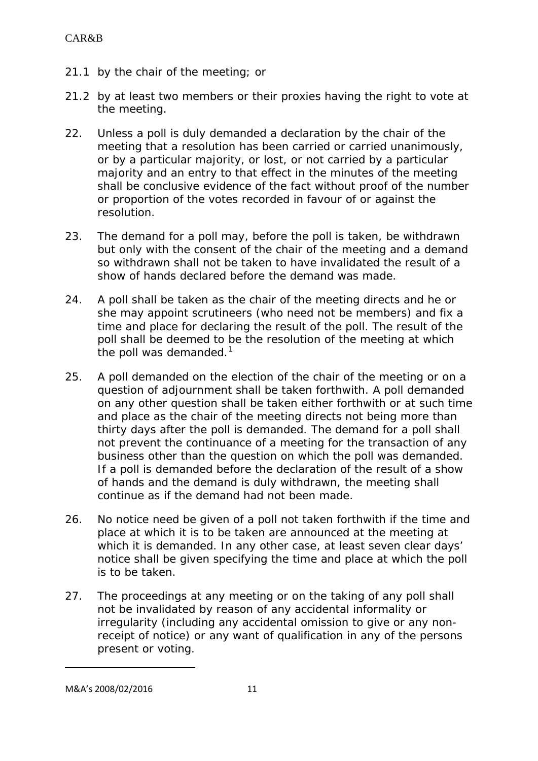- 21.1 by the chair of the meeting; or
- 21.2 by at least two members or their proxies having the right to vote at the meeting.
- 22. Unless a poll is duly demanded a declaration by the chair of the meeting that a resolution has been carried or carried unanimously, or by a particular majority, or lost, or not carried by a particular majority and an entry to that effect in the minutes of the meeting shall be conclusive evidence of the fact without proof of the number or proportion of the votes recorded in favour of or against the resolution.
- 23. The demand for a poll may, before the poll is taken, be withdrawn but only with the consent of the chair of the meeting and a demand so withdrawn shall not be taken to have invalidated the result of a show of hands declared before the demand was made.
- 24. A poll shall be taken as the chair of the meeting directs and he or she may appoint scrutineers (who need not be members) and fix a time and place for declaring the result of the poll. The result of the poll shall be deemed to be the resolution of the meeting at which the poll was demanded. $1$
- 25. A poll demanded on the election of the chair of the meeting or on a question of adjournment shall be taken forthwith. A poll demanded on any other question shall be taken either forthwith or at such time and place as the chair of the meeting directs not being more than thirty days after the poll is demanded. The demand for a poll shall not prevent the continuance of a meeting for the transaction of any business other than the question on which the poll was demanded. If a poll is demanded before the declaration of the result of a show of hands and the demand is duly withdrawn, the meeting shall continue as if the demand had not been made.
- 26. No notice need be given of a poll not taken forthwith if the time and place at which it is to be taken are announced at the meeting at which it is demanded. In any other case, at least seven clear days' notice shall be given specifying the time and place at which the poll is to be taken.
- 27. The proceedings at any meeting or on the taking of any poll shall not be invalidated by reason of any accidental informality or irregularity (including any accidental omission to give or any nonreceipt of notice) or any want of qualification in any of the persons present or voting.

**.** 

<span id="page-10-0"></span>M&A's 2008/02/2016 11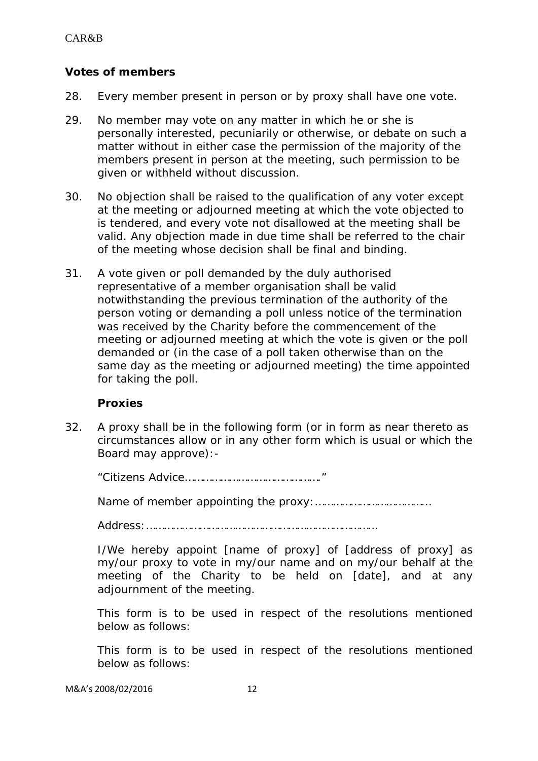# **Votes of members**

- 28. Every member present in person or by proxy shall have one vote.
- 29. No member may vote on any matter in which he or she is personally interested, pecuniarily or otherwise, or debate on such a matter without in either case the permission of the majority of the members present in person at the meeting, such permission to be given or withheld without discussion.
- 30. No objection shall be raised to the qualification of any voter except at the meeting or adjourned meeting at which the vote objected to is tendered, and every vote not disallowed at the meeting shall be valid. Any objection made in due time shall be referred to the chair of the meeting whose decision shall be final and binding.
- 31. A vote given or poll demanded by the duly authorised representative of a member organisation shall be valid notwithstanding the previous termination of the authority of the person voting or demanding a poll unless notice of the termination was received by the Charity before the commencement of the meeting or adjourned meeting at which the vote is given or the poll demanded or (in the case of a poll taken otherwise than on the same day as the meeting or adjourned meeting) the time appointed for taking the poll.

#### **Proxies**

32. A proxy shall be in the following form (or in form as near thereto as circumstances allow or in any other form which is usual or which the Board may approve):-

"Citizens Advice………………………………………."

Name of member appointing the proxy:…………………………………

Address:……………………………………………………………………

I/We hereby appoint [*name of proxy*] of [*address of proxy*] as my/our proxy to vote in my/our name and on my/our behalf at the meeting of the Charity to be held on [*date*], and at any adjournment of the meeting.

This form is to be used in respect of the resolutions mentioned below as follows:

This form is to be used in respect of the resolutions mentioned below as follows: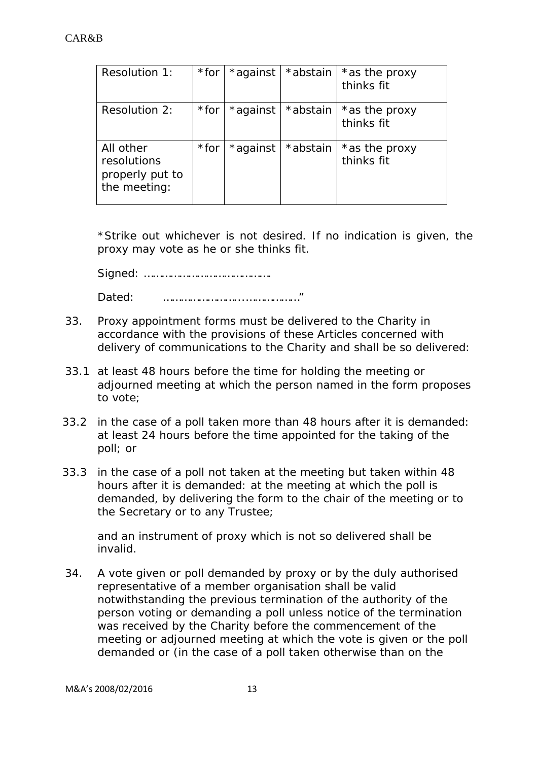| Resolution 1:                                               | $*$ for | *against | *abstain | *as the proxy<br>thinks fit |
|-------------------------------------------------------------|---------|----------|----------|-----------------------------|
| Resolution 2:                                               | *for    | *against | *abstain | *as the proxy<br>thinks fit |
| All other<br>resolutions<br>properly put to<br>the meeting: | *for    | *against | *abstain | *as the proxy<br>thinks fit |

\*Strike out whichever is not desired. If no indication is given, the proxy may vote as he or she thinks fit.

delivery of communications to the Charity and shall be so delivered:

Signed: ……………………………………. Dated: ……………………...………………"

33. Proxy appointment forms must be delivered to the Charity in accordance with the provisions of these Articles concerned with

- 33.1 at least 48 hours before the time for holding the meeting or adjourned meeting at which the person named in the form proposes to vote;
- 33.2 in the case of a poll taken more than 48 hours after it is demanded: at least 24 hours before the time appointed for the taking of the poll; or
- 33.3 in the case of a poll not taken at the meeting but taken within 48 hours after it is demanded: at the meeting at which the poll is demanded, by delivering the form to the chair of the meeting or to the Secretary or to any Trustee;

and an instrument of proxy which is not so delivered shall be invalid.

34. A vote given or poll demanded by proxy or by the duly authorised representative of a member organisation shall be valid notwithstanding the previous termination of the authority of the person voting or demanding a poll unless notice of the termination was received by the Charity before the commencement of the meeting or adjourned meeting at which the vote is given or the poll demanded or (in the case of a poll taken otherwise than on the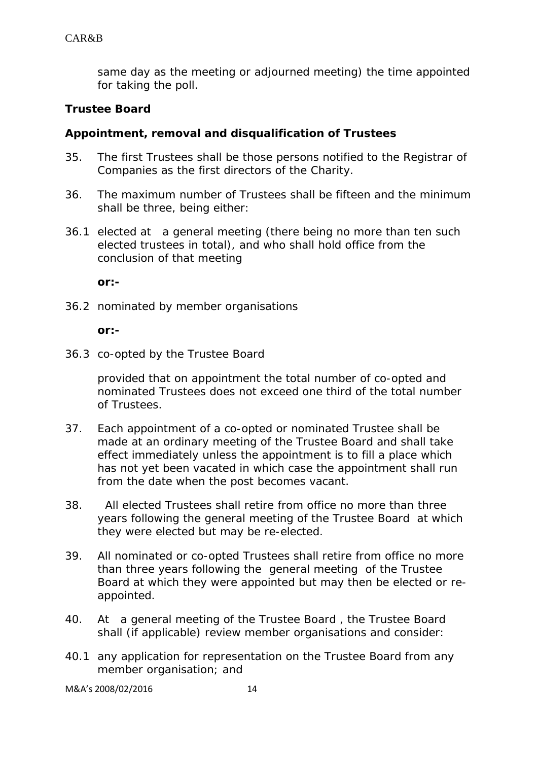same day as the meeting or adjourned meeting) the time appointed for taking the poll.

#### **Trustee Board**

#### **Appointment, removal and disqualification of Trustees**

- 35. The first Trustees shall be those persons notified to the Registrar of Companies as the first directors of the Charity.
- 36. The maximum number of Trustees shall be fifteen and the minimum shall be three, being either:
- 36.1 elected at a general meeting (there being no more than ten such elected trustees in total), and who shall hold office from the conclusion of that meeting

**or:-**

36.2 nominated by member organisations

**or:-**

36.3 co-opted by the Trustee Board

provided that on appointment the total number of co-opted and nominated Trustees does not exceed one third of the total number of Trustees.

- 37. Each appointment of a co-opted or nominated Trustee shall be made at an ordinary meeting of the Trustee Board and shall take effect immediately unless the appointment is to fill a place which has not yet been vacated in which case the appointment shall run from the date when the post becomes vacant.
- 38. All elected Trustees shall retire from office no more than three years following the general meeting of the Trustee Board at which they were elected but may be re-elected.
- 39. All nominated or co-opted Trustees shall retire from office no more than three years following the general meeting of the Trustee Board at which they were appointed but may then be elected or reappointed.
- 40. At a general meeting of the Trustee Board , the Trustee Board shall (if applicable) review member organisations and consider:
- 40.1 any application for representation on the Trustee Board from any member organisation; and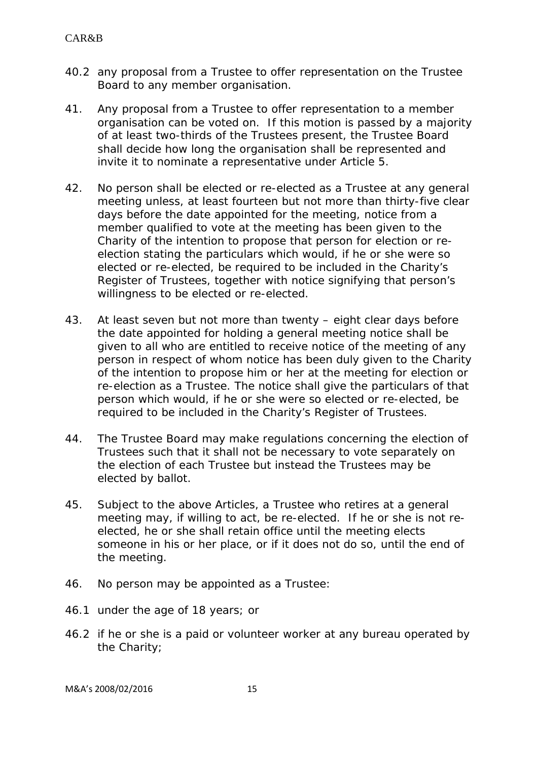- 40.2 any proposal from a Trustee to offer representation on the Trustee Board to any member organisation.
- 41. Any proposal from a Trustee to offer representation to a member organisation can be voted on. If this motion is passed by a majority of at least two-thirds of the Trustees present, the Trustee Board shall decide how long the organisation shall be represented and invite it to nominate a representative under Article 5.
- 42. No person shall be elected or re-elected as a Trustee at any general meeting unless, at least fourteen but not more than thirty-five clear days before the date appointed for the meeting, notice from a member qualified to vote at the meeting has been given to the Charity of the intention to propose that person for election or reelection stating the particulars which would, if he or she were so elected or re-elected, be required to be included in the Charity's Register of Trustees, together with notice signifying that person's willingness to be elected or re-elected.
- 43. At least seven but not more than twenty eight clear days before the date appointed for holding a general meeting notice shall be given to all who are entitled to receive notice of the meeting of any person in respect of whom notice has been duly given to the Charity of the intention to propose him or her at the meeting for election or re-election as a Trustee. The notice shall give the particulars of that person which would, if he or she were so elected or re-elected, be required to be included in the Charity's Register of Trustees.
- 44. The Trustee Board may make regulations concerning the election of Trustees such that it shall not be necessary to vote separately on the election of each Trustee but instead the Trustees may be elected by ballot.
- 45. Subject to the above Articles, a Trustee who retires at a general meeting may, if willing to act, be re-elected. If he or she is not reelected, he or she shall retain office until the meeting elects someone in his or her place, or if it does not do so, until the end of the meeting.
- 46. No person may be appointed as a Trustee:
- 46.1 under the age of 18 years; or
- 46.2 if he or she is a paid or volunteer worker at any bureau operated by the Charity;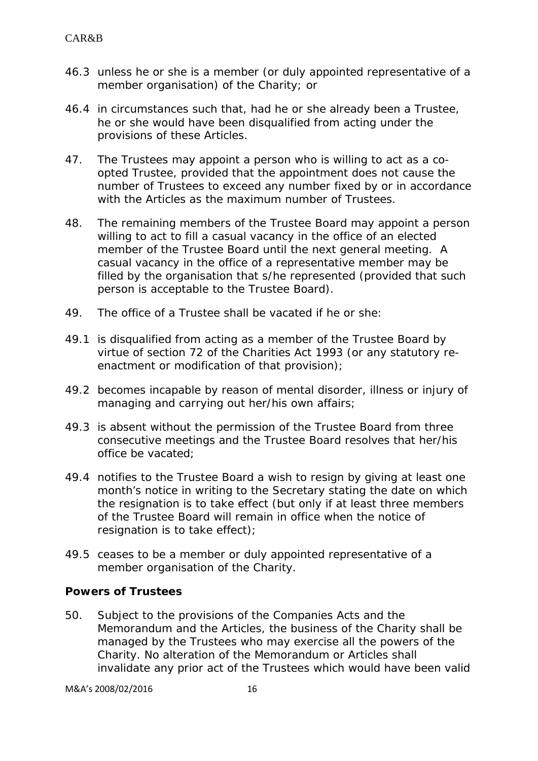- 46.3 unless he or she is a member (or duly appointed representative of a member organisation) of the Charity; or
- 46.4 in circumstances such that, had he or she already been a Trustee, he or she would have been disqualified from acting under the provisions of these Articles.
- 47. The Trustees may appoint a person who is willing to act as a coopted Trustee, provided that the appointment does not cause the number of Trustees to exceed any number fixed by or in accordance with the Articles as the maximum number of Trustees.
- 48. The remaining members of the Trustee Board may appoint a person willing to act to fill a casual vacancy in the office of an elected member of the Trustee Board until the next general meeting. A casual vacancy in the office of a representative member may be filled by the organisation that s/he represented (provided that such person is acceptable to the Trustee Board).
- 49. The office of a Trustee shall be vacated if he or she:
- 49.1 is disqualified from acting as a member of the Trustee Board by virtue of section 72 of the Charities Act 1993 (or any statutory reenactment or modification of that provision);
- 49.2 becomes incapable by reason of mental disorder, illness or injury of managing and carrying out her/his own affairs;
- 49.3 is absent without the permission of the Trustee Board from three consecutive meetings and the Trustee Board resolves that her/his office be vacated;
- 49.4 notifies to the Trustee Board a wish to resign by giving at least one month's notice in writing to the Secretary stating the date on which the resignation is to take effect (but only if at least three members of the Trustee Board will remain in office when the notice of resignation is to take effect);
- 49.5 ceases to be a member or duly appointed representative of a member organisation of the Charity.

#### **Powers of Trustees**

50. Subject to the provisions of the Companies Acts and the Memorandum and the Articles, the business of the Charity shall be managed by the Trustees who may exercise all the powers of the Charity. No alteration of the Memorandum or Articles shall invalidate any prior act of the Trustees which would have been valid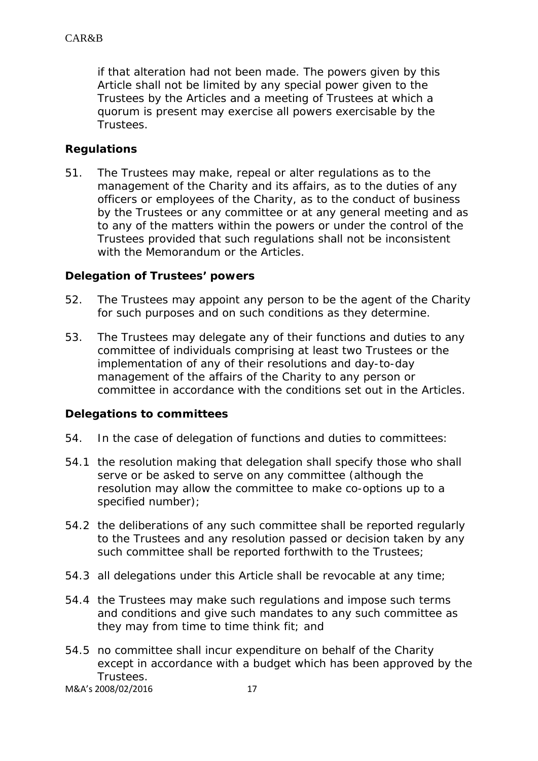if that alteration had not been made. The powers given by this Article shall not be limited by any special power given to the Trustees by the Articles and a meeting of Trustees at which a quorum is present may exercise all powers exercisable by the Trustees.

## **Regulations**

51. The Trustees may make, repeal or alter regulations as to the management of the Charity and its affairs, as to the duties of any officers or employees of the Charity, as to the conduct of business by the Trustees or any committee or at any general meeting and as to any of the matters within the powers or under the control of the Trustees provided that such regulations shall not be inconsistent with the Memorandum or the Articles.

#### **Delegation of Trustees' powers**

- 52. The Trustees may appoint any person to be the agent of the Charity for such purposes and on such conditions as they determine.
- 53. The Trustees may delegate any of their functions and duties to any committee of individuals comprising at least two Trustees or the implementation of any of their resolutions and day-to-day management of the affairs of the Charity to any person or committee in accordance with the conditions set out in the Articles.

#### **Delegations to committees**

- 54. In the case of delegation of functions and duties to committees:
- 54.1 the resolution making that delegation shall specify those who shall serve or be asked to serve on any committee (although the resolution may allow the committee to make co-options up to a specified number);
- 54.2 the deliberations of any such committee shall be reported regularly to the Trustees and any resolution passed or decision taken by any such committee shall be reported forthwith to the Trustees;
- 54.3 all delegations under this Article shall be revocable at any time;
- 54.4 the Trustees may make such regulations and impose such terms and conditions and give such mandates to any such committee as they may from time to time think fit; and
- 54.5 no committee shall incur expenditure on behalf of the Charity except in accordance with a budget which has been approved by the Trustees.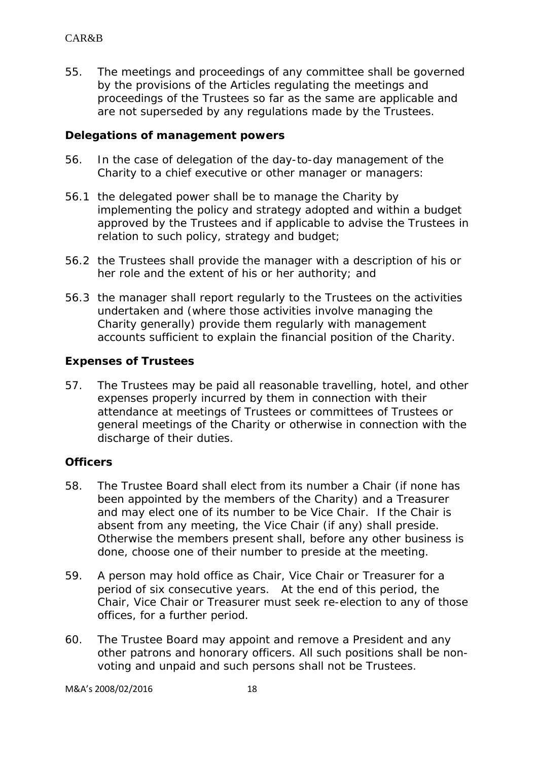55. The meetings and proceedings of any committee shall be governed by the provisions of the Articles regulating the meetings and proceedings of the Trustees so far as the same are applicable and are not superseded by any regulations made by the Trustees.

#### **Delegations of management powers**

- 56. In the case of delegation of the day-to-day management of the Charity to a chief executive or other manager or managers:
- 56.1 the delegated power shall be to manage the Charity by implementing the policy and strategy adopted and within a budget approved by the Trustees and if applicable to advise the Trustees in relation to such policy, strategy and budget;
- 56.2 the Trustees shall provide the manager with a description of his or her role and the extent of his or her authority; and
- 56.3 the manager shall report regularly to the Trustees on the activities undertaken and (where those activities involve managing the Charity generally) provide them regularly with management accounts sufficient to explain the financial position of the Charity.

## **Expenses of Trustees**

57. The Trustees may be paid all reasonable travelling, hotel, and other expenses properly incurred by them in connection with their attendance at meetings of Trustees or committees of Trustees or general meetings of the Charity or otherwise in connection with the discharge of their duties.

# **Officers**

- 58. The Trustee Board shall elect from its number a Chair (if none has been appointed by the members of the Charity) and a Treasurer and may elect one of its number to be Vice Chair. If the Chair is absent from any meeting, the Vice Chair (if any) shall preside. Otherwise the members present shall, before any other business is done, choose one of their number to preside at the meeting.
- 59. A person may hold office as Chair, Vice Chair or Treasurer for a period of six consecutive years. At the end of this period, the Chair, Vice Chair or Treasurer must seek re-election to any of those offices, for a further period.
- 60. The Trustee Board may appoint and remove a President and any other patrons and honorary officers. All such positions shall be nonvoting and unpaid and such persons shall not be Trustees.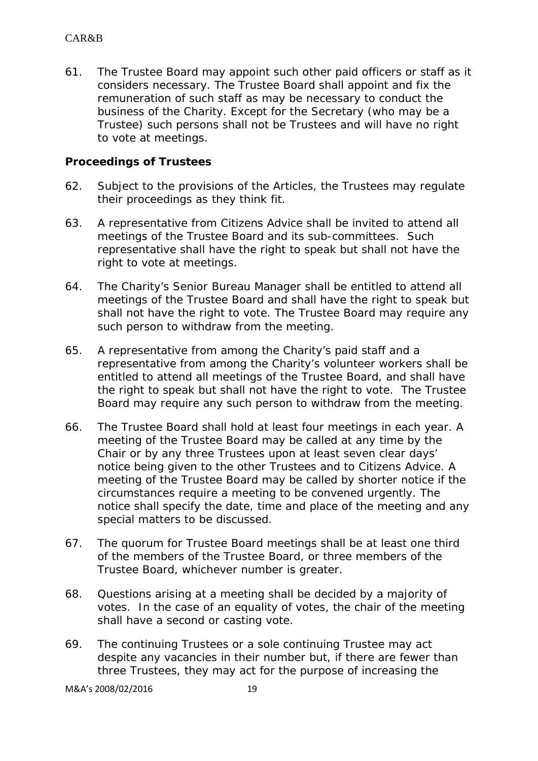61. The Trustee Board may appoint such other paid officers or staff as it considers necessary. The Trustee Board shall appoint and fix the remuneration of such staff as may be necessary to conduct the business of the Charity. Except for the Secretary (who may be a Trustee) such persons shall not be Trustees and will have no right to vote at meetings.

#### **Proceedings of Trustees**

- 62. Subject to the provisions of the Articles, the Trustees may regulate their proceedings as they think fit.
- 63. A representative from Citizens Advice shall be invited to attend all meetings of the Trustee Board and its sub-committees. Such representative shall have the right to speak but shall not have the right to vote at meetings.
- 64. The Charity's Senior Bureau Manager shall be entitled to attend all meetings of the Trustee Board and shall have the right to speak but shall not have the right to vote. The Trustee Board may require any such person to withdraw from the meeting.
- 65. A representative from among the Charity's paid staff and a representative from among the Charity's volunteer workers shall be entitled to attend all meetings of the Trustee Board, and shall have the right to speak but shall not have the right to vote. The Trustee Board may require any such person to withdraw from the meeting.
- 66. The Trustee Board shall hold at least four meetings in each year. A meeting of the Trustee Board may be called at any time by the Chair or by any three Trustees upon at least seven clear days' notice being given to the other Trustees and to Citizens Advice. A meeting of the Trustee Board may be called by shorter notice if the circumstances require a meeting to be convened urgently. The notice shall specify the date, time and place of the meeting and any special matters to be discussed.
- 67. The quorum for Trustee Board meetings shall be at least one third of the members of the Trustee Board, or three members of the Trustee Board, whichever number is greater.
- 68. Questions arising at a meeting shall be decided by a majority of votes. In the case of an equality of votes, the chair of the meeting shall have a second or casting vote.
- 69. The continuing Trustees or a sole continuing Trustee may act despite any vacancies in their number but, if there are fewer than three Trustees, they may act for the purpose of increasing the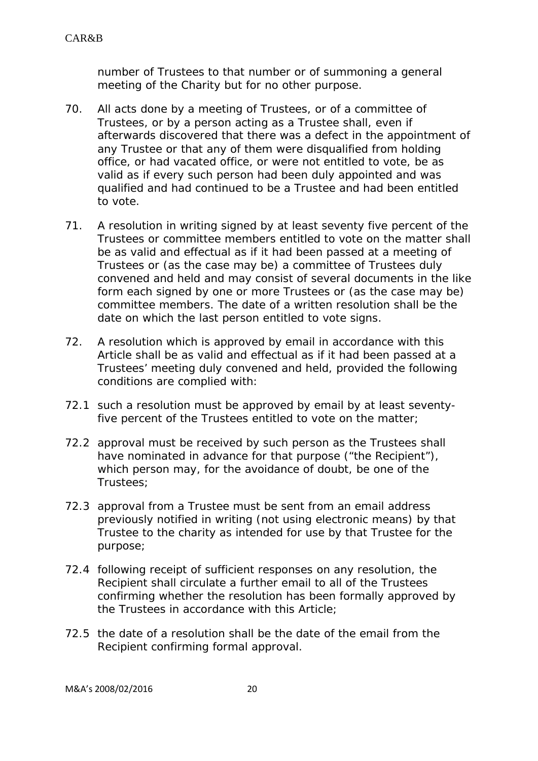number of Trustees to that number or of summoning a general meeting of the Charity but for no other purpose.

- 70. All acts done by a meeting of Trustees, or of a committee of Trustees, or by a person acting as a Trustee shall, even if afterwards discovered that there was a defect in the appointment of any Trustee or that any of them were disqualified from holding office, or had vacated office, or were not entitled to vote, be as valid as if every such person had been duly appointed and was qualified and had continued to be a Trustee and had been entitled to vote.
- 71. A resolution in writing signed by at least seventy five percent of the Trustees or committee members entitled to vote on the matter shall be as valid and effectual as if it had been passed at a meeting of Trustees or (as the case may be) a committee of Trustees duly convened and held and may consist of several documents in the like form each signed by one or more Trustees or (as the case may be) committee members. The date of a written resolution shall be the date on which the last person entitled to vote signs.
- 72. A resolution which is approved by email in accordance with this Article shall be as valid and effectual as if it had been passed at a Trustees' meeting duly convened and held, provided the following conditions are complied with:
- 72.1 such a resolution must be approved by email by at least seventyfive percent of the Trustees entitled to vote on the matter;
- 72.2 approval must be received by such person as the Trustees shall have nominated in advance for that purpose ("the Recipient"), which person may, for the avoidance of doubt, be one of the Trustees;
- 72.3 approval from a Trustee must be sent from an email address previously notified in writing (not using electronic means) by that Trustee to the charity as intended for use by that Trustee for the purpose;
- 72.4 following receipt of sufficient responses on any resolution, the Recipient shall circulate a further email to all of the Trustees confirming whether the resolution has been formally approved by the Trustees in accordance with this Article;
- 72.5 the date of a resolution shall be the date of the email from the Recipient confirming formal approval.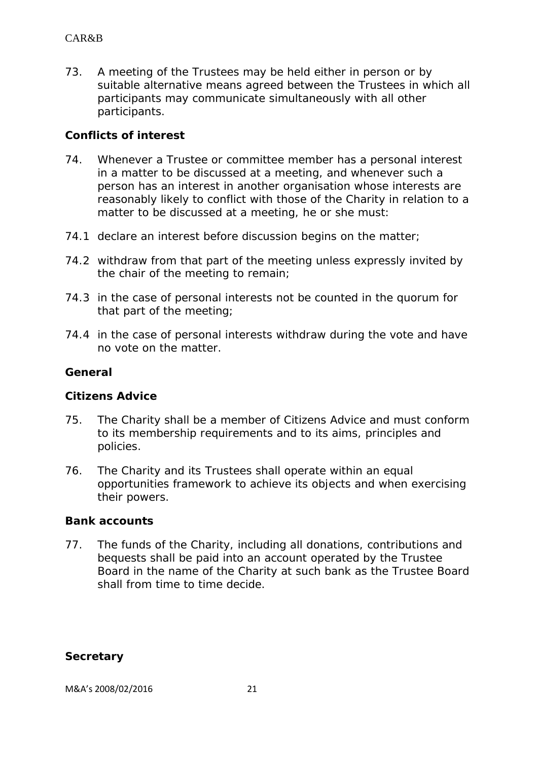73. A meeting of the Trustees may be held either in person or by suitable alternative means agreed between the Trustees in which all participants may communicate simultaneously with all other participants.

### **Conflicts of interest**

- 74. Whenever a Trustee or committee member has a personal interest in a matter to be discussed at a meeting, and whenever such a person has an interest in another organisation whose interests are reasonably likely to conflict with those of the Charity in relation to a matter to be discussed at a meeting, he or she must:
- 74.1 declare an interest before discussion begins on the matter;
- 74.2 withdraw from that part of the meeting unless expressly invited by the chair of the meeting to remain;
- 74.3 in the case of personal interests not be counted in the quorum for that part of the meeting;
- 74.4 in the case of personal interests withdraw during the vote and have no vote on the matter.

#### **General**

#### **Citizens Advice**

- 75. The Charity shall be a member of Citizens Advice and must conform to its membership requirements and to its aims, principles and policies.
- 76. The Charity and its Trustees shall operate within an equal opportunities framework to achieve its objects and when exercising their powers.

#### **Bank accounts**

77. The funds of the Charity, including all donations, contributions and bequests shall be paid into an account operated by the Trustee Board in the name of the Charity at such bank as the Trustee Board shall from time to time decide.

#### **Secretary**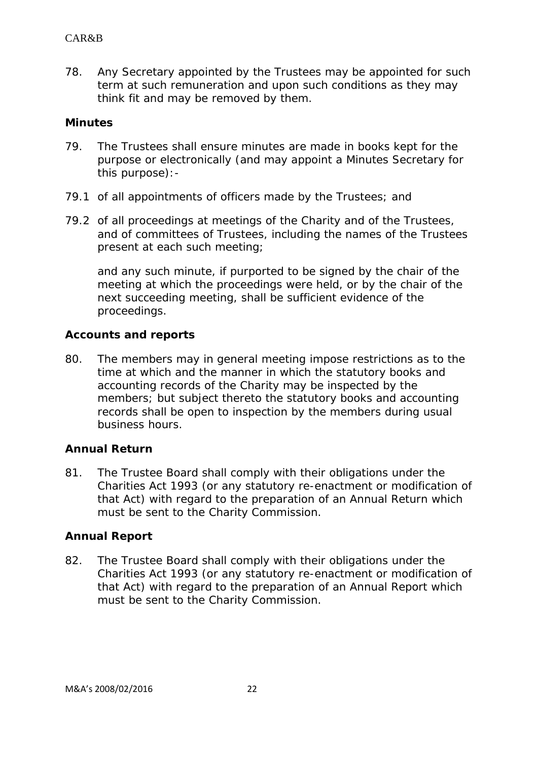78. Any Secretary appointed by the Trustees may be appointed for such term at such remuneration and upon such conditions as they may think fit and may be removed by them.

#### **Minutes**

- 79. The Trustees shall ensure minutes are made in books kept for the purpose or electronically (and may appoint a Minutes Secretary for this purpose):-
- 79.1 of all appointments of officers made by the Trustees; and
- 79.2 of all proceedings at meetings of the Charity and of the Trustees, and of committees of Trustees, including the names of the Trustees present at each such meeting;

and any such minute, if purported to be signed by the chair of the meeting at which the proceedings were held, or by the chair of the next succeeding meeting, shall be sufficient evidence of the proceedings.

#### **Accounts and reports**

80. The members may in general meeting impose restrictions as to the time at which and the manner in which the statutory books and accounting records of the Charity may be inspected by the members; but subject thereto the statutory books and accounting records shall be open to inspection by the members during usual business hours.

#### **Annual Return**

81. The Trustee Board shall comply with their obligations under the Charities Act 1993 (or any statutory re-enactment or modification of that Act) with regard to the preparation of an Annual Return which must be sent to the Charity Commission.

#### **Annual Report**

82. The Trustee Board shall comply with their obligations under the Charities Act 1993 (or any statutory re-enactment or modification of that Act) with regard to the preparation of an Annual Report which must be sent to the Charity Commission.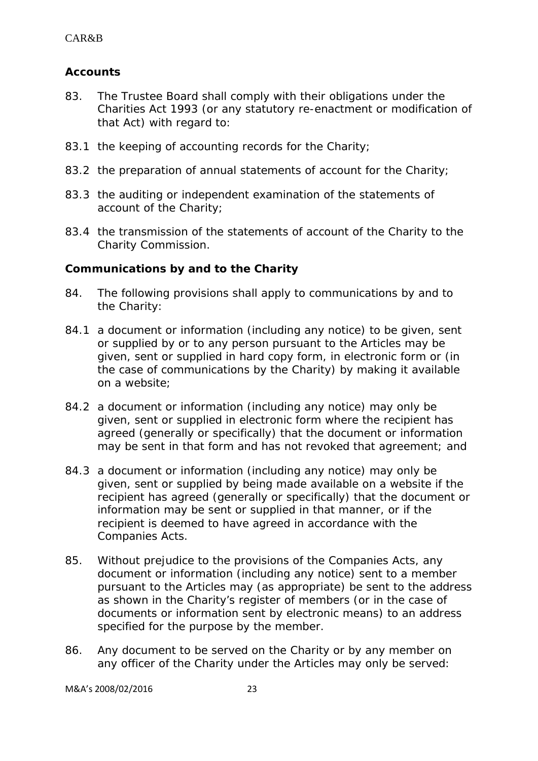# **Accounts**

- 83. The Trustee Board shall comply with their obligations under the Charities Act 1993 (or any statutory re-enactment or modification of that Act) with regard to:
- 83.1 the keeping of accounting records for the Charity;
- 83.2 the preparation of annual statements of account for the Charity;
- 83.3 the auditing or independent examination of the statements of account of the Charity;
- 83.4 the transmission of the statements of account of the Charity to the Charity Commission.

## **Communications by and to the Charity**

- 84. The following provisions shall apply to communications by and to the Charity:
- 84.1 a document or information (including any notice) to be given, sent or supplied by or to any person pursuant to the Articles may be given, sent or supplied in hard copy form, in electronic form or (in the case of communications by the Charity) by making it available on a website;
- 84.2 a document or information (including any notice) may only be given, sent or supplied in electronic form where the recipient has agreed (generally or specifically) that the document or information may be sent in that form and has not revoked that agreement; and
- 84.3 a document or information (including any notice) may only be given, sent or supplied by being made available on a website if the recipient has agreed (generally or specifically) that the document or information may be sent or supplied in that manner, or if the recipient is deemed to have agreed in accordance with the Companies Acts.
- 85. Without prejudice to the provisions of the Companies Acts, any document or information (including any notice) sent to a member pursuant to the Articles may (as appropriate) be sent to the address as shown in the Charity's register of members (or in the case of documents or information sent by electronic means) to an address specified for the purpose by the member.
- 86. Any document to be served on the Charity or by any member on any officer of the Charity under the Articles may only be served: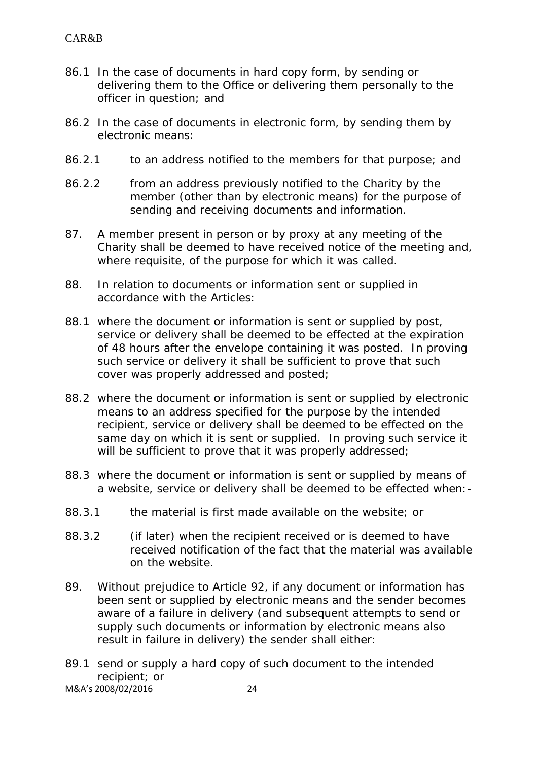- 86.1 In the case of documents in hard copy form, by sending or delivering them to the Office or delivering them personally to the officer in question; and
- 86.2 In the case of documents in electronic form, by sending them by electronic means:
- 86.2.1 to an address notified to the members for that purpose; and
- 86.2.2 from an address previously notified to the Charity by the member (other than by electronic means) for the purpose of sending and receiving documents and information.
- 87. A member present in person or by proxy at any meeting of the Charity shall be deemed to have received notice of the meeting and, where requisite, of the purpose for which it was called.
- 88. In relation to documents or information sent or supplied in accordance with the Articles:
- 88.1 where the document or information is sent or supplied by post. service or delivery shall be deemed to be effected at the expiration of 48 hours after the envelope containing it was posted. In proving such service or delivery it shall be sufficient to prove that such cover was properly addressed and posted;
- 88.2 where the document or information is sent or supplied by electronic means to an address specified for the purpose by the intended recipient, service or delivery shall be deemed to be effected on the same day on which it is sent or supplied. In proving such service it will be sufficient to prove that it was properly addressed;
- 88.3 where the document or information is sent or supplied by means of a website, service or delivery shall be deemed to be effected when:-
- 88.3.1 the material is first made available on the website; or
- 88.3.2 (if later) when the recipient received or is deemed to have received notification of the fact that the material was available on the website.
- 89. Without prejudice to Article 92, if any document or information has been sent or supplied by electronic means and the sender becomes aware of a failure in delivery (and subsequent attempts to send or supply such documents or information by electronic means also result in failure in delivery) the sender shall either:
- M&A's 2008/02/2016 24 89.1 send or supply a hard copy of such document to the intended recipient; or